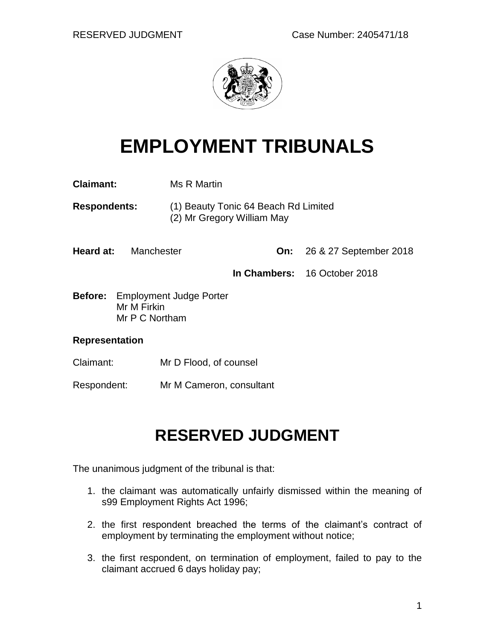

# **EMPLOYMENT TRIBUNALS**

| <b>Claimant:</b>                                                        |  | Ms R Martin                                                        |  |                                   |
|-------------------------------------------------------------------------|--|--------------------------------------------------------------------|--|-----------------------------------|
| <b>Respondents:</b>                                                     |  | (1) Beauty Tonic 64 Beach Rd Limited<br>(2) Mr Gregory William May |  |                                   |
| <b>Heard at:</b> Manchester                                             |  |                                                                    |  | <b>On:</b> 26 & 27 September 2018 |
|                                                                         |  |                                                                    |  | In Chambers: 16 October 2018      |
| <b>Before:</b> Employment Judge Porter<br>Mr M Firkin<br>Mr P C Northam |  |                                                                    |  |                                   |
| <b>Representation</b>                                                   |  |                                                                    |  |                                   |
| Claimant:                                                               |  | Mr D Flood, of counsel                                             |  |                                   |

Respondent: Mr M Cameron, consultant

## **RESERVED JUDGMENT**

The unanimous judgment of the tribunal is that:

- 1. the claimant was automatically unfairly dismissed within the meaning of s99 Employment Rights Act 1996;
- 2. the first respondent breached the terms of the claimant's contract of employment by terminating the employment without notice;
- 3. the first respondent, on termination of employment, failed to pay to the claimant accrued 6 days holiday pay;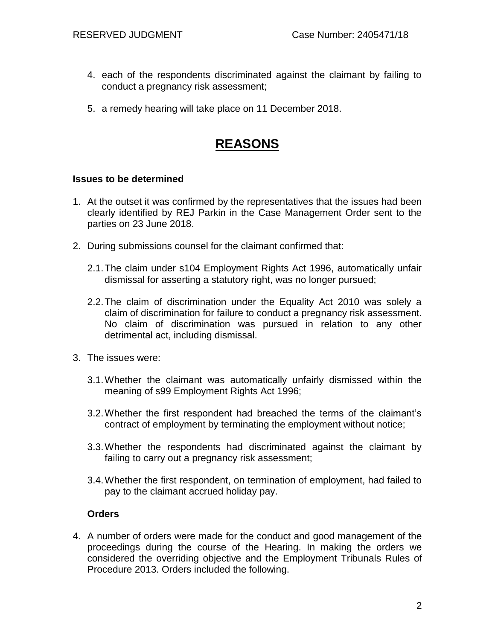- 4. each of the respondents discriminated against the claimant by failing to conduct a pregnancy risk assessment;
- 5. a remedy hearing will take place on 11 December 2018.

### **REASONS**

#### **Issues to be determined**

- 1. At the outset it was confirmed by the representatives that the issues had been clearly identified by REJ Parkin in the Case Management Order sent to the parties on 23 June 2018.
- 2. During submissions counsel for the claimant confirmed that:
	- 2.1.The claim under s104 Employment Rights Act 1996, automatically unfair dismissal for asserting a statutory right, was no longer pursued;
	- 2.2.The claim of discrimination under the Equality Act 2010 was solely a claim of discrimination for failure to conduct a pregnancy risk assessment. No claim of discrimination was pursued in relation to any other detrimental act, including dismissal.
- 3. The issues were:
	- 3.1.Whether the claimant was automatically unfairly dismissed within the meaning of s99 Employment Rights Act 1996;
	- 3.2.Whether the first respondent had breached the terms of the claimant's contract of employment by terminating the employment without notice;
	- 3.3.Whether the respondents had discriminated against the claimant by failing to carry out a pregnancy risk assessment;
	- 3.4.Whether the first respondent, on termination of employment, had failed to pay to the claimant accrued holiday pay.

#### **Orders**

4. A number of orders were made for the conduct and good management of the proceedings during the course of the Hearing. In making the orders we considered the overriding objective and the Employment Tribunals Rules of Procedure 2013. Orders included the following.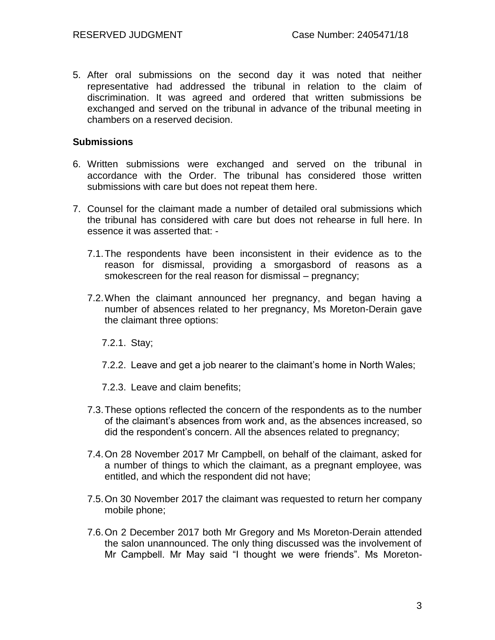5. After oral submissions on the second day it was noted that neither representative had addressed the tribunal in relation to the claim of discrimination. It was agreed and ordered that written submissions be exchanged and served on the tribunal in advance of the tribunal meeting in chambers on a reserved decision.

#### **Submissions**

- 6. Written submissions were exchanged and served on the tribunal in accordance with the Order. The tribunal has considered those written submissions with care but does not repeat them here.
- 7. Counsel for the claimant made a number of detailed oral submissions which the tribunal has considered with care but does not rehearse in full here. In essence it was asserted that: -
	- 7.1.The respondents have been inconsistent in their evidence as to the reason for dismissal, providing a smorgasbord of reasons as a smokescreen for the real reason for dismissal – pregnancy;
	- 7.2.When the claimant announced her pregnancy, and began having a number of absences related to her pregnancy, Ms Moreton-Derain gave the claimant three options:

7.2.1. Stay;

- 7.2.2. Leave and get a job nearer to the claimant's home in North Wales;
- 7.2.3. Leave and claim benefits;
- 7.3.These options reflected the concern of the respondents as to the number of the claimant's absences from work and, as the absences increased, so did the respondent's concern. All the absences related to pregnancy;
- 7.4.On 28 November 2017 Mr Campbell, on behalf of the claimant, asked for a number of things to which the claimant, as a pregnant employee, was entitled, and which the respondent did not have;
- 7.5.On 30 November 2017 the claimant was requested to return her company mobile phone;
- 7.6.On 2 December 2017 both Mr Gregory and Ms Moreton-Derain attended the salon unannounced. The only thing discussed was the involvement of Mr Campbell. Mr May said "I thought we were friends". Ms Moreton-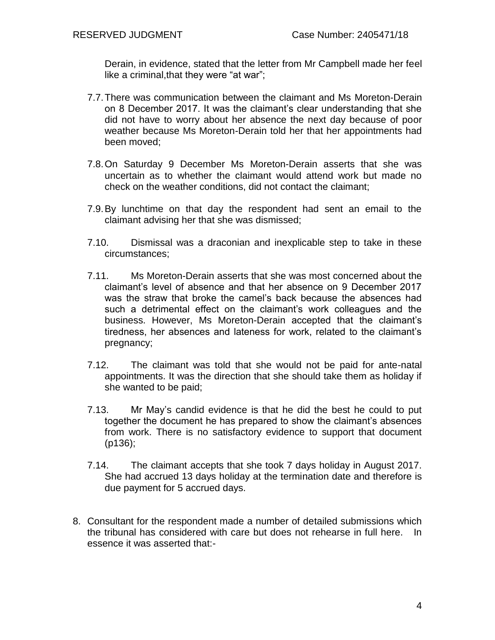Derain, in evidence, stated that the letter from Mr Campbell made her feel like a criminal,that they were "at war";

- 7.7.There was communication between the claimant and Ms Moreton-Derain on 8 December 2017. It was the claimant's clear understanding that she did not have to worry about her absence the next day because of poor weather because Ms Moreton-Derain told her that her appointments had been moved;
- 7.8.On Saturday 9 December Ms Moreton-Derain asserts that she was uncertain as to whether the claimant would attend work but made no check on the weather conditions, did not contact the claimant;
- 7.9.By lunchtime on that day the respondent had sent an email to the claimant advising her that she was dismissed;
- 7.10. Dismissal was a draconian and inexplicable step to take in these circumstances;
- 7.11. Ms Moreton-Derain asserts that she was most concerned about the claimant's level of absence and that her absence on 9 December 2017 was the straw that broke the camel's back because the absences had such a detrimental effect on the claimant's work colleagues and the business. However, Ms Moreton-Derain accepted that the claimant's tiredness, her absences and lateness for work, related to the claimant's pregnancy;
- 7.12. The claimant was told that she would not be paid for ante-natal appointments. It was the direction that she should take them as holiday if she wanted to be paid;
- 7.13. Mr May's candid evidence is that he did the best he could to put together the document he has prepared to show the claimant's absences from work. There is no satisfactory evidence to support that document (p136);
- 7.14. The claimant accepts that she took 7 days holiday in August 2017. She had accrued 13 days holiday at the termination date and therefore is due payment for 5 accrued days.
- 8. Consultant for the respondent made a number of detailed submissions which the tribunal has considered with care but does not rehearse in full here. In essence it was asserted that:-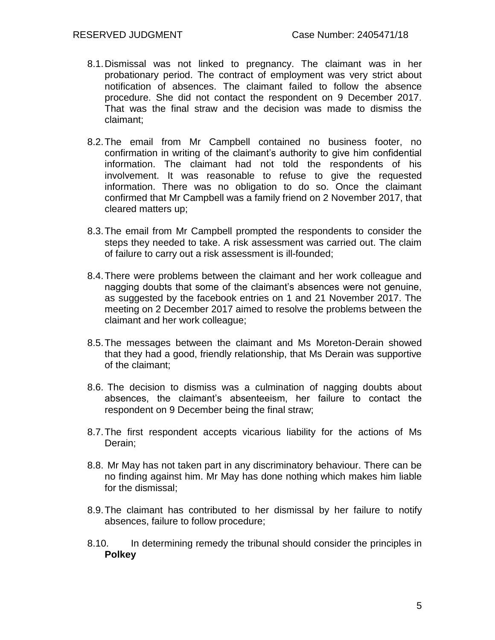- 8.1.Dismissal was not linked to pregnancy. The claimant was in her probationary period. The contract of employment was very strict about notification of absences. The claimant failed to follow the absence procedure. She did not contact the respondent on 9 December 2017. That was the final straw and the decision was made to dismiss the claimant;
- 8.2.The email from Mr Campbell contained no business footer, no confirmation in writing of the claimant's authority to give him confidential information. The claimant had not told the respondents of his involvement. It was reasonable to refuse to give the requested information. There was no obligation to do so. Once the claimant confirmed that Mr Campbell was a family friend on 2 November 2017, that cleared matters up;
- 8.3.The email from Mr Campbell prompted the respondents to consider the steps they needed to take. A risk assessment was carried out. The claim of failure to carry out a risk assessment is ill-founded;
- 8.4.There were problems between the claimant and her work colleague and nagging doubts that some of the claimant's absences were not genuine, as suggested by the facebook entries on 1 and 21 November 2017. The meeting on 2 December 2017 aimed to resolve the problems between the claimant and her work colleague;
- 8.5.The messages between the claimant and Ms Moreton-Derain showed that they had a good, friendly relationship, that Ms Derain was supportive of the claimant;
- 8.6. The decision to dismiss was a culmination of nagging doubts about absences, the claimant's absenteeism, her failure to contact the respondent on 9 December being the final straw;
- 8.7.The first respondent accepts vicarious liability for the actions of Ms Derain;
- 8.8. Mr May has not taken part in any discriminatory behaviour. There can be no finding against him. Mr May has done nothing which makes him liable for the dismissal;
- 8.9.The claimant has contributed to her dismissal by her failure to notify absences, failure to follow procedure;
- 8.10. In determining remedy the tribunal should consider the principles in **Polkey**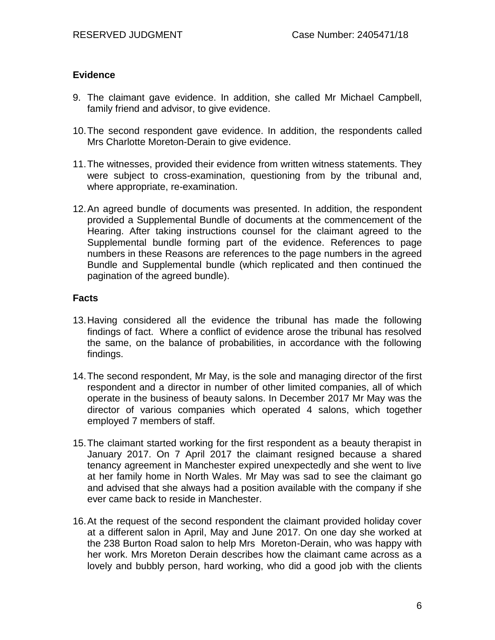#### **Evidence**

- 9. The claimant gave evidence. In addition, she called Mr Michael Campbell, family friend and advisor, to give evidence.
- 10.The second respondent gave evidence. In addition, the respondents called Mrs Charlotte Moreton-Derain to give evidence.
- 11.The witnesses, provided their evidence from written witness statements. They were subject to cross-examination, questioning from by the tribunal and, where appropriate, re-examination.
- 12.An agreed bundle of documents was presented. In addition, the respondent provided a Supplemental Bundle of documents at the commencement of the Hearing. After taking instructions counsel for the claimant agreed to the Supplemental bundle forming part of the evidence. References to page numbers in these Reasons are references to the page numbers in the agreed Bundle and Supplemental bundle (which replicated and then continued the pagination of the agreed bundle).

#### **Facts**

- 13.Having considered all the evidence the tribunal has made the following findings of fact. Where a conflict of evidence arose the tribunal has resolved the same, on the balance of probabilities, in accordance with the following findings.
- 14.The second respondent, Mr May, is the sole and managing director of the first respondent and a director in number of other limited companies, all of which operate in the business of beauty salons. In December 2017 Mr May was the director of various companies which operated 4 salons, which together employed 7 members of staff.
- 15.The claimant started working for the first respondent as a beauty therapist in January 2017. On 7 April 2017 the claimant resigned because a shared tenancy agreement in Manchester expired unexpectedly and she went to live at her family home in North Wales. Mr May was sad to see the claimant go and advised that she always had a position available with the company if she ever came back to reside in Manchester.
- 16.At the request of the second respondent the claimant provided holiday cover at a different salon in April, May and June 2017. On one day she worked at the 238 Burton Road salon to help Mrs Moreton-Derain, who was happy with her work. Mrs Moreton Derain describes how the claimant came across as a lovely and bubbly person, hard working, who did a good job with the clients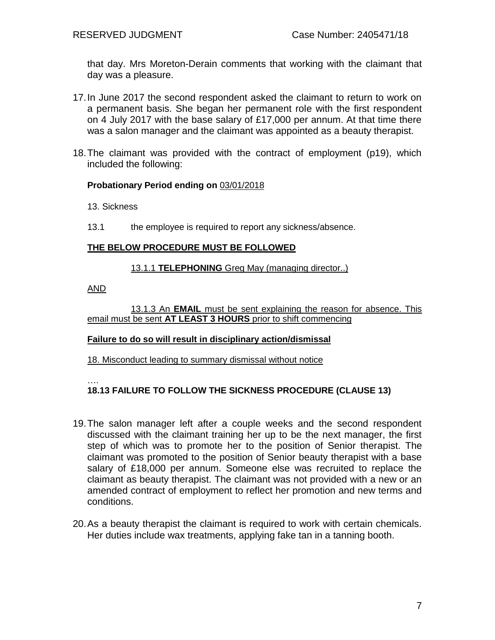that day. Mrs Moreton-Derain comments that working with the claimant that day was a pleasure.

- 17.In June 2017 the second respondent asked the claimant to return to work on a permanent basis. She began her permanent role with the first respondent on 4 July 2017 with the base salary of £17,000 per annum. At that time there was a salon manager and the claimant was appointed as a beauty therapist.
- 18.The claimant was provided with the contract of employment (p19), which included the following:

#### **Probationary Period ending on** 03/01/2018

13. Sickness

13.1 the employee is required to report any sickness/absence.

#### **THE BELOW PROCEDURE MUST BE FOLLOWED**

#### 13.1.1 **TELEPHONING** Greg May (managing director..)

AND

13.1.3 An **EMAIL** must be sent explaining the reason for absence. This email must be sent **AT LEAST 3 HOURS** prior to shift commencing

#### **Failure to do so will result in disciplinary action/dismissal**

18. Misconduct leading to summary dismissal without notice

….

#### **18.13 FAILURE TO FOLLOW THE SICKNESS PROCEDURE (CLAUSE 13)**

- 19.The salon manager left after a couple weeks and the second respondent discussed with the claimant training her up to be the next manager, the first step of which was to promote her to the position of Senior therapist. The claimant was promoted to the position of Senior beauty therapist with a base salary of £18,000 per annum. Someone else was recruited to replace the claimant as beauty therapist. The claimant was not provided with a new or an amended contract of employment to reflect her promotion and new terms and conditions.
- 20.As a beauty therapist the claimant is required to work with certain chemicals. Her duties include wax treatments, applying fake tan in a tanning booth.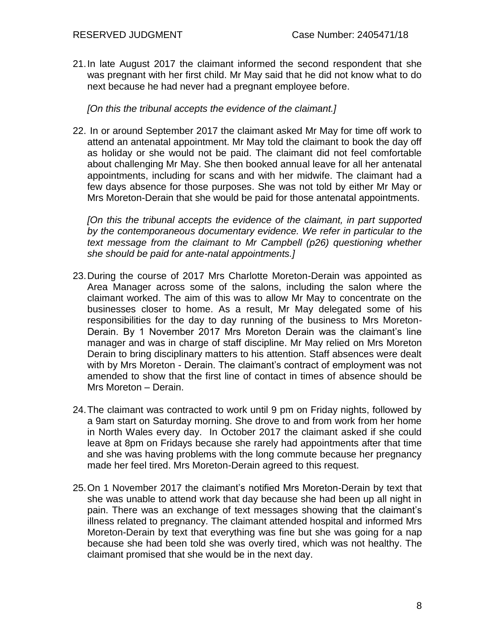21.In late August 2017 the claimant informed the second respondent that she was pregnant with her first child. Mr May said that he did not know what to do next because he had never had a pregnant employee before.

*[On this the tribunal accepts the evidence of the claimant.]*

22. In or around September 2017 the claimant asked Mr May for time off work to attend an antenatal appointment. Mr May told the claimant to book the day off as holiday or she would not be paid. The claimant did not feel comfortable about challenging Mr May. She then booked annual leave for all her antenatal appointments, including for scans and with her midwife. The claimant had a few days absence for those purposes. She was not told by either Mr May or Mrs Moreton-Derain that she would be paid for those antenatal appointments.

*[On this the tribunal accepts the evidence of the claimant, in part supported by the contemporaneous documentary evidence. We refer in particular to the text message from the claimant to Mr Campbell (p26) questioning whether she should be paid for ante-natal appointments.]*

- 23.During the course of 2017 Mrs Charlotte Moreton-Derain was appointed as Area Manager across some of the salons, including the salon where the claimant worked. The aim of this was to allow Mr May to concentrate on the businesses closer to home. As a result, Mr May delegated some of his responsibilities for the day to day running of the business to Mrs Moreton-Derain. By 1 November 2017 Mrs Moreton Derain was the claimant's line manager and was in charge of staff discipline. Mr May relied on Mrs Moreton Derain to bring disciplinary matters to his attention. Staff absences were dealt with by Mrs Moreton - Derain. The claimant's contract of employment was not amended to show that the first line of contact in times of absence should be Mrs Moreton – Derain.
- 24.The claimant was contracted to work until 9 pm on Friday nights, followed by a 9am start on Saturday morning. She drove to and from work from her home in North Wales every day. In October 2017 the claimant asked if she could leave at 8pm on Fridays because she rarely had appointments after that time and she was having problems with the long commute because her pregnancy made her feel tired. Mrs Moreton-Derain agreed to this request.
- 25.On 1 November 2017 the claimant's notified Mrs Moreton-Derain by text that she was unable to attend work that day because she had been up all night in pain. There was an exchange of text messages showing that the claimant's illness related to pregnancy. The claimant attended hospital and informed Mrs Moreton-Derain by text that everything was fine but she was going for a nap because she had been told she was overly tired, which was not healthy. The claimant promised that she would be in the next day.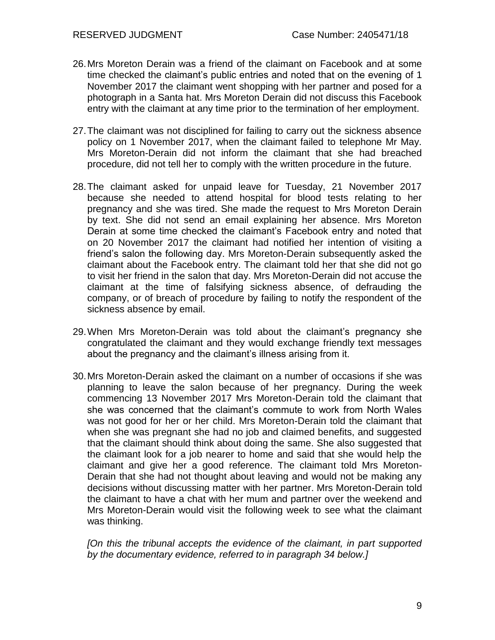- 26.Mrs Moreton Derain was a friend of the claimant on Facebook and at some time checked the claimant's public entries and noted that on the evening of 1 November 2017 the claimant went shopping with her partner and posed for a photograph in a Santa hat. Mrs Moreton Derain did not discuss this Facebook entry with the claimant at any time prior to the termination of her employment.
- 27.The claimant was not disciplined for failing to carry out the sickness absence policy on 1 November 2017, when the claimant failed to telephone Mr May. Mrs Moreton-Derain did not inform the claimant that she had breached procedure, did not tell her to comply with the written procedure in the future.
- 28.The claimant asked for unpaid leave for Tuesday, 21 November 2017 because she needed to attend hospital for blood tests relating to her pregnancy and she was tired. She made the request to Mrs Moreton Derain by text. She did not send an email explaining her absence. Mrs Moreton Derain at some time checked the claimant's Facebook entry and noted that on 20 November 2017 the claimant had notified her intention of visiting a friend's salon the following day. Mrs Moreton-Derain subsequently asked the claimant about the Facebook entry. The claimant told her that she did not go to visit her friend in the salon that day. Mrs Moreton-Derain did not accuse the claimant at the time of falsifying sickness absence, of defrauding the company, or of breach of procedure by failing to notify the respondent of the sickness absence by email.
- 29.When Mrs Moreton-Derain was told about the claimant's pregnancy she congratulated the claimant and they would exchange friendly text messages about the pregnancy and the claimant's illness arising from it.
- 30.Mrs Moreton-Derain asked the claimant on a number of occasions if she was planning to leave the salon because of her pregnancy. During the week commencing 13 November 2017 Mrs Moreton-Derain told the claimant that she was concerned that the claimant's commute to work from North Wales was not good for her or her child. Mrs Moreton-Derain told the claimant that when she was pregnant she had no job and claimed benefits, and suggested that the claimant should think about doing the same. She also suggested that the claimant look for a job nearer to home and said that she would help the claimant and give her a good reference. The claimant told Mrs Moreton-Derain that she had not thought about leaving and would not be making any decisions without discussing matter with her partner. Mrs Moreton-Derain told the claimant to have a chat with her mum and partner over the weekend and Mrs Moreton-Derain would visit the following week to see what the claimant was thinking.

*[On this the tribunal accepts the evidence of the claimant, in part supported by the documentary evidence, referred to in paragraph 34 below.]*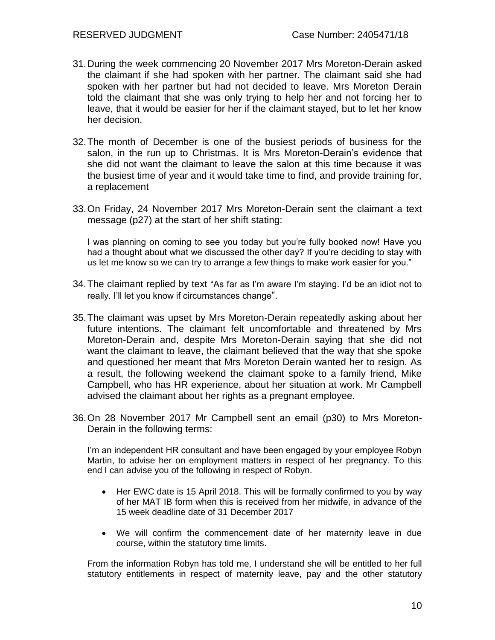- 31.During the week commencing 20 November 2017 Mrs Moreton-Derain asked the claimant if she had spoken with her partner. The claimant said she had spoken with her partner but had not decided to leave. Mrs Moreton Derain told the claimant that she was only trying to help her and not forcing her to leave, that it would be easier for her if the claimant stayed, but to let her know her decision.
- 32.The month of December is one of the busiest periods of business for the salon, in the run up to Christmas. It is Mrs Moreton-Derain's evidence that she did not want the claimant to leave the salon at this time because it was the busiest time of year and it would take time to find, and provide training for, a replacement
- 33.On Friday, 24 November 2017 Mrs Moreton-Derain sent the claimant a text message (p27) at the start of her shift stating:

I was planning on coming to see you today but you're fully booked now! Have you had a thought about what we discussed the other day? If you're deciding to stay with us let me know so we can try to arrange a few things to make work easier for you."

- 34.The claimant replied by text "As far as I'm aware I'm staying. I'd be an idiot not to really. I'll let you know if circumstances change".
- 35.The claimant was upset by Mrs Moreton-Derain repeatedly asking about her future intentions. The claimant felt uncomfortable and threatened by Mrs Moreton-Derain and, despite Mrs Moreton-Derain saying that she did not want the claimant to leave, the claimant believed that the way that she spoke and questioned her meant that Mrs Moreton Derain wanted her to resign. As a result, the following weekend the claimant spoke to a family friend, Mike Campbell, who has HR experience, about her situation at work. Mr Campbell advised the claimant about her rights as a pregnant employee.
- 36.On 28 November 2017 Mr Campbell sent an email (p30) to Mrs Moreton-Derain in the following terms:

I'm an independent HR consultant and have been engaged by your employee Robyn Martin, to advise her on employment matters in respect of her pregnancy. To this end I can advise you of the following in respect of Robyn.

- Her EWC date is 15 April 2018. This will be formally confirmed to you by way of her MAT IB form when this is received from her midwife, in advance of the 15 week deadline date of 31 December 2017
- We will confirm the commencement date of her maternity leave in due course, within the statutory time limits.

From the information Robyn has told me, I understand she will be entitled to her full statutory entitlements in respect of maternity leave, pay and the other statutory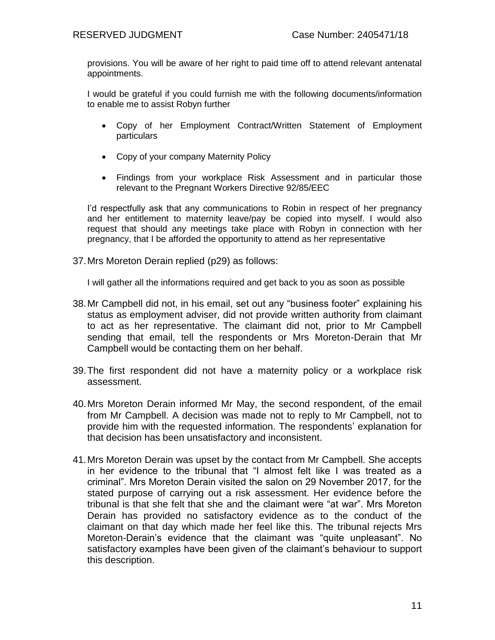provisions. You will be aware of her right to paid time off to attend relevant antenatal appointments.

I would be grateful if you could furnish me with the following documents/information to enable me to assist Robyn further

- Copy of her Employment Contract/Written Statement of Employment particulars
- Copy of your company Maternity Policy
- Findings from your workplace Risk Assessment and in particular those relevant to the Pregnant Workers Directive 92/85/EEC

I'd respectfully ask that any communications to Robin in respect of her pregnancy and her entitlement to maternity leave/pay be copied into myself. I would also request that should any meetings take place with Robyn in connection with her pregnancy, that I be afforded the opportunity to attend as her representative

37.Mrs Moreton Derain replied (p29) as follows:

I will gather all the informations required and get back to you as soon as possible

- 38.Mr Campbell did not, in his email, set out any "business footer" explaining his status as employment adviser, did not provide written authority from claimant to act as her representative. The claimant did not, prior to Mr Campbell sending that email, tell the respondents or Mrs Moreton-Derain that Mr Campbell would be contacting them on her behalf.
- 39.The first respondent did not have a maternity policy or a workplace risk assessment.
- 40.Mrs Moreton Derain informed Mr May, the second respondent, of the email from Mr Campbell. A decision was made not to reply to Mr Campbell, not to provide him with the requested information. The respondents' explanation for that decision has been unsatisfactory and inconsistent.
- 41.Mrs Moreton Derain was upset by the contact from Mr Campbell. She accepts in her evidence to the tribunal that "I almost felt like I was treated as a criminal". Mrs Moreton Derain visited the salon on 29 November 2017, for the stated purpose of carrying out a risk assessment. Her evidence before the tribunal is that she felt that she and the claimant were "at war". Mrs Moreton Derain has provided no satisfactory evidence as to the conduct of the claimant on that day which made her feel like this. The tribunal rejects Mrs Moreton-Derain's evidence that the claimant was "quite unpleasant". No satisfactory examples have been given of the claimant's behaviour to support this description.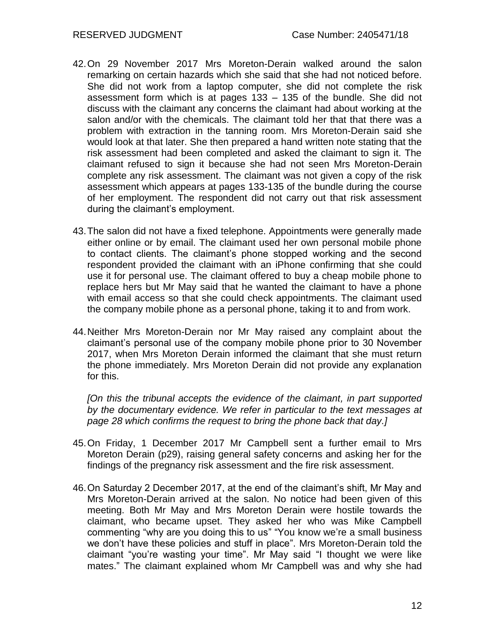- 42.On 29 November 2017 Mrs Moreton-Derain walked around the salon remarking on certain hazards which she said that she had not noticed before. She did not work from a laptop computer, she did not complete the risk assessment form which is at pages 133 – 135 of the bundle. She did not discuss with the claimant any concerns the claimant had about working at the salon and/or with the chemicals. The claimant told her that that there was a problem with extraction in the tanning room. Mrs Moreton-Derain said she would look at that later. She then prepared a hand written note stating that the risk assessment had been completed and asked the claimant to sign it. The claimant refused to sign it because she had not seen Mrs Moreton-Derain complete any risk assessment. The claimant was not given a copy of the risk assessment which appears at pages 133-135 of the bundle during the course of her employment. The respondent did not carry out that risk assessment during the claimant's employment.
- 43.The salon did not have a fixed telephone. Appointments were generally made either online or by email. The claimant used her own personal mobile phone to contact clients. The claimant's phone stopped working and the second respondent provided the claimant with an iPhone confirming that she could use it for personal use. The claimant offered to buy a cheap mobile phone to replace hers but Mr May said that he wanted the claimant to have a phone with email access so that she could check appointments. The claimant used the company mobile phone as a personal phone, taking it to and from work.
- 44.Neither Mrs Moreton-Derain nor Mr May raised any complaint about the claimant's personal use of the company mobile phone prior to 30 November 2017, when Mrs Moreton Derain informed the claimant that she must return the phone immediately. Mrs Moreton Derain did not provide any explanation for this.

*[On this the tribunal accepts the evidence of the claimant, in part supported by the documentary evidence. We refer in particular to the text messages at page 28 which confirms the request to bring the phone back that day.]*

- 45.On Friday, 1 December 2017 Mr Campbell sent a further email to Mrs Moreton Derain (p29), raising general safety concerns and asking her for the findings of the pregnancy risk assessment and the fire risk assessment.
- 46.On Saturday 2 December 2017, at the end of the claimant's shift, Mr May and Mrs Moreton-Derain arrived at the salon. No notice had been given of this meeting. Both Mr May and Mrs Moreton Derain were hostile towards the claimant, who became upset. They asked her who was Mike Campbell commenting "why are you doing this to us" "You know we're a small business we don't have these policies and stuff in place". Mrs Moreton-Derain told the claimant "you're wasting your time". Mr May said "I thought we were like mates." The claimant explained whom Mr Campbell was and why she had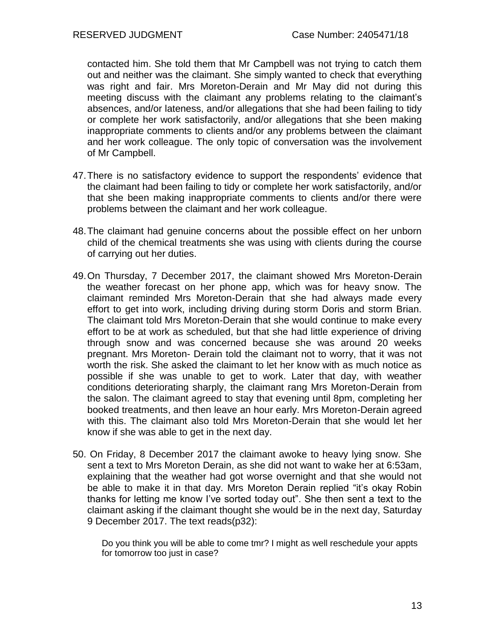contacted him. She told them that Mr Campbell was not trying to catch them out and neither was the claimant. She simply wanted to check that everything was right and fair. Mrs Moreton-Derain and Mr May did not during this meeting discuss with the claimant any problems relating to the claimant's absences, and/or lateness, and/or allegations that she had been failing to tidy or complete her work satisfactorily, and/or allegations that she been making inappropriate comments to clients and/or any problems between the claimant and her work colleague. The only topic of conversation was the involvement of Mr Campbell.

- 47.There is no satisfactory evidence to support the respondents' evidence that the claimant had been failing to tidy or complete her work satisfactorily, and/or that she been making inappropriate comments to clients and/or there were problems between the claimant and her work colleague.
- 48.The claimant had genuine concerns about the possible effect on her unborn child of the chemical treatments she was using with clients during the course of carrying out her duties.
- 49.On Thursday, 7 December 2017, the claimant showed Mrs Moreton-Derain the weather forecast on her phone app, which was for heavy snow. The claimant reminded Mrs Moreton-Derain that she had always made every effort to get into work, including driving during storm Doris and storm Brian. The claimant told Mrs Moreton-Derain that she would continue to make every effort to be at work as scheduled, but that she had little experience of driving through snow and was concerned because she was around 20 weeks pregnant. Mrs Moreton- Derain told the claimant not to worry, that it was not worth the risk. She asked the claimant to let her know with as much notice as possible if she was unable to get to work. Later that day, with weather conditions deteriorating sharply, the claimant rang Mrs Moreton-Derain from the salon. The claimant agreed to stay that evening until 8pm, completing her booked treatments, and then leave an hour early. Mrs Moreton-Derain agreed with this. The claimant also told Mrs Moreton-Derain that she would let her know if she was able to get in the next day.
- 50. On Friday, 8 December 2017 the claimant awoke to heavy lying snow. She sent a text to Mrs Moreton Derain, as she did not want to wake her at 6:53am, explaining that the weather had got worse overnight and that she would not be able to make it in that day. Mrs Moreton Derain replied "it's okay Robin thanks for letting me know I've sorted today out". She then sent a text to the claimant asking if the claimant thought she would be in the next day, Saturday 9 December 2017. The text reads(p32):

Do you think you will be able to come tmr? I might as well reschedule your appts for tomorrow too just in case?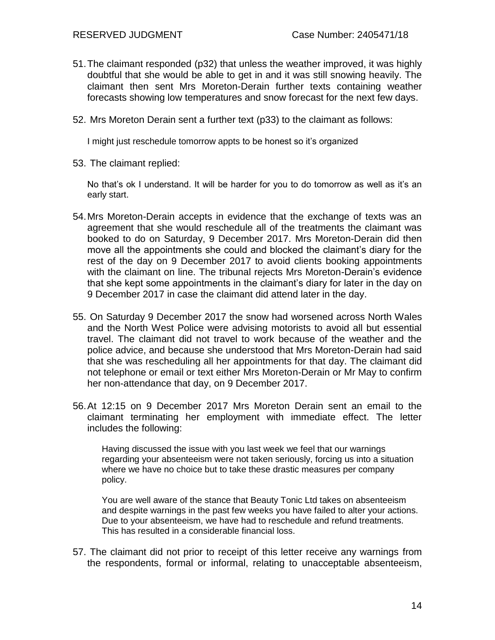- 51.The claimant responded (p32) that unless the weather improved, it was highly doubtful that she would be able to get in and it was still snowing heavily. The claimant then sent Mrs Moreton-Derain further texts containing weather forecasts showing low temperatures and snow forecast for the next few days.
- 52. Mrs Moreton Derain sent a further text (p33) to the claimant as follows:

I might just reschedule tomorrow appts to be honest so it's organized

53. The claimant replied:

No that's ok I understand. It will be harder for you to do tomorrow as well as it's an early start.

- 54.Mrs Moreton-Derain accepts in evidence that the exchange of texts was an agreement that she would reschedule all of the treatments the claimant was booked to do on Saturday, 9 December 2017. Mrs Moreton-Derain did then move all the appointments she could and blocked the claimant's diary for the rest of the day on 9 December 2017 to avoid clients booking appointments with the claimant on line. The tribunal rejects Mrs Moreton-Derain's evidence that she kept some appointments in the claimant's diary for later in the day on 9 December 2017 in case the claimant did attend later in the day.
- 55. On Saturday 9 December 2017 the snow had worsened across North Wales and the North West Police were advising motorists to avoid all but essential travel. The claimant did not travel to work because of the weather and the police advice, and because she understood that Mrs Moreton-Derain had said that she was rescheduling all her appointments for that day. The claimant did not telephone or email or text either Mrs Moreton-Derain or Mr May to confirm her non-attendance that day, on 9 December 2017.
- 56.At 12:15 on 9 December 2017 Mrs Moreton Derain sent an email to the claimant terminating her employment with immediate effect. The letter includes the following:

Having discussed the issue with you last week we feel that our warnings regarding your absenteeism were not taken seriously, forcing us into a situation where we have no choice but to take these drastic measures per company policy.

You are well aware of the stance that Beauty Tonic Ltd takes on absenteeism and despite warnings in the past few weeks you have failed to alter your actions. Due to your absenteeism, we have had to reschedule and refund treatments. This has resulted in a considerable financial loss.

57. The claimant did not prior to receipt of this letter receive any warnings from the respondents, formal or informal, relating to unacceptable absenteeism,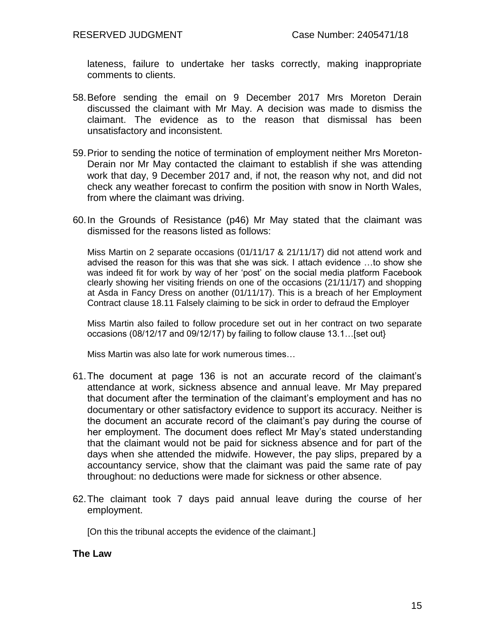lateness, failure to undertake her tasks correctly, making inappropriate comments to clients.

- 58.Before sending the email on 9 December 2017 Mrs Moreton Derain discussed the claimant with Mr May. A decision was made to dismiss the claimant. The evidence as to the reason that dismissal has been unsatisfactory and inconsistent.
- 59.Prior to sending the notice of termination of employment neither Mrs Moreton-Derain nor Mr May contacted the claimant to establish if she was attending work that day, 9 December 2017 and, if not, the reason why not, and did not check any weather forecast to confirm the position with snow in North Wales, from where the claimant was driving.
- 60.In the Grounds of Resistance (p46) Mr May stated that the claimant was dismissed for the reasons listed as follows:

Miss Martin on 2 separate occasions (01/11/17 & 21/11/17) did not attend work and advised the reason for this was that she was sick. I attach evidence …to show she was indeed fit for work by way of her 'post' on the social media platform Facebook clearly showing her visiting friends on one of the occasions (21/11/17) and shopping at Asda in Fancy Dress on another (01/11/17). This is a breach of her Employment Contract clause 18.11 Falsely claiming to be sick in order to defraud the Employer

Miss Martin also failed to follow procedure set out in her contract on two separate occasions (08/12/17 and 09/12/17) by failing to follow clause 13.1…[set out}

Miss Martin was also late for work numerous times…

- 61.The document at page 136 is not an accurate record of the claimant's attendance at work, sickness absence and annual leave. Mr May prepared that document after the termination of the claimant's employment and has no documentary or other satisfactory evidence to support its accuracy. Neither is the document an accurate record of the claimant's pay during the course of her employment. The document does reflect Mr May's stated understanding that the claimant would not be paid for sickness absence and for part of the days when she attended the midwife. However, the pay slips, prepared by a accountancy service, show that the claimant was paid the same rate of pay throughout: no deductions were made for sickness or other absence.
- 62.The claimant took 7 days paid annual leave during the course of her employment.

[On this the tribunal accepts the evidence of the claimant.]

#### **The Law**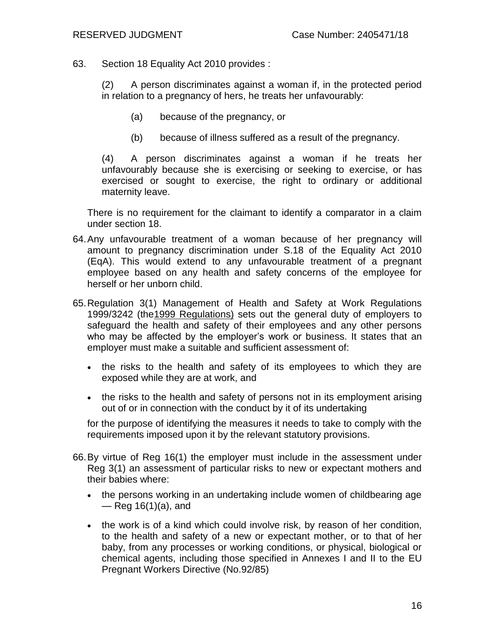63. Section 18 Equality Act 2010 provides :

(2) A person discriminates against a woman if, in the protected period in relation to a pregnancy of hers, he treats her unfavourably:

- (a) because of the pregnancy, or
- (b) because of illness suffered as a result of the pregnancy.

(4) A person discriminates against a woman if he treats her unfavourably because she is exercising or seeking to exercise, or has exercised or sought to exercise, the right to ordinary or additional maternity leave.

There is no requirement for the claimant to identify a comparator in a claim under section 18.

- 64.Any unfavourable treatment of a woman because of her pregnancy will amount to pregnancy discrimination under S.18 of the Equality Act 2010 (EqA). This would extend to any unfavourable treatment of a pregnant employee based on any health and safety concerns of the employee for herself or her unborn child.
- 65.Regulation 3(1) Management of Health and Safety at Work Regulations 1999/3242 (the1999 Regulations) sets out the general duty of employers to safeguard the health and safety of their employees and any other persons who may be affected by the employer's work or business. It states that an employer must make a suitable and sufficient assessment of:
	- the risks to the health and safety of its employees to which they are exposed while they are at work, and
	- the risks to the health and safety of persons not in its employment arising out of or in connection with the conduct by it of its undertaking

for the purpose of identifying the measures it needs to take to comply with the requirements imposed upon it by the relevant statutory provisions.

- 66.By virtue of Reg 16(1) the employer must include in the assessment under Reg 3(1) an assessment of particular risks to new or expectant mothers and their babies where:
	- the persons working in an undertaking include women of childbearing age — Reg 16(1)(a), and
	- the work is of a kind which could involve risk, by reason of her condition, to the health and safety of a new or expectant mother, or to that of her baby, from any processes or working conditions, or physical, biological or chemical agents, including those specified in Annexes I and II to the EU Pregnant Workers Directive (No.92/85)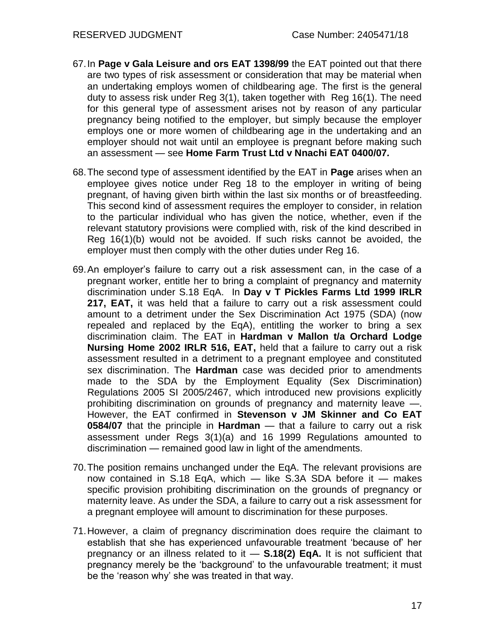- 67.In **Page v Gala Leisure and ors EAT 1398/99** the EAT pointed out that there are two types of risk assessment or consideration that may be material when an undertaking employs women of childbearing age. The first is the general duty to assess risk under Reg 3(1), taken together with Reg 16(1). The need for this general type of assessment arises not by reason of any particular pregnancy being notified to the employer, but simply because the employer employs one or more women of childbearing age in the undertaking and an employer should not wait until an employee is pregnant before making such an assessment — see **Home Farm Trust Ltd v Nnachi EAT 0400/07***.*
- 68.The second type of assessment identified by the EAT in **Page** arises when an employee gives notice under Reg 18 to the employer in writing of being pregnant, of having given birth within the last six months or of breastfeeding. This second kind of assessment requires the employer to consider, in relation to the particular individual who has given the notice, whether, even if the relevant statutory provisions were complied with, risk of the kind described in Reg 16(1)(b) would not be avoided. If such risks cannot be avoided, the employer must then comply with the other duties under Reg 16.
- 69.An employer's failure to carry out a risk assessment can, in the case of a pregnant worker, entitle her to bring a complaint of pregnancy and maternity discrimination under S.18 EqA. In **Day v T Pickles Farms Ltd 1999 IRLR 217, EAT,** it was held that a failure to carry out a risk assessment could amount to a detriment under the Sex Discrimination Act 1975 (SDA) (now repealed and replaced by the EqA), entitling the worker to bring a sex discrimination claim. The EAT in **Hardman v Mallon t/a Orchard Lodge Nursing Home 2002 IRLR 516, EAT,** held that a failure to carry out a risk assessment resulted in a detriment to a pregnant employee and constituted sex discrimination. The **Hardman** case was decided prior to amendments made to the SDA by the Employment Equality (Sex Discrimination) Regulations 2005 SI 2005/2467, which introduced new provisions explicitly prohibiting discrimination on grounds of pregnancy and maternity leave —. However, the EAT confirmed in **Stevenson v JM Skinner and Co EAT 0584/07** that the principle in **Hardman** — that a failure to carry out a risk assessment under Regs 3(1)(a) and 16 1999 Regulations amounted to discrimination — remained good law in light of the amendments.
- 70.The position remains unchanged under the EqA. The relevant provisions are now contained in S.18 EqA, which — like S.3A SDA before it — makes specific provision prohibiting discrimination on the grounds of pregnancy or maternity leave. As under the SDA, a failure to carry out a risk assessment for a pregnant employee will amount to discrimination for these purposes.
- 71.However, a claim of pregnancy discrimination does require the claimant to establish that she has experienced unfavourable treatment 'because of' her pregnancy or an illness related to it — **S.18(2) EqA.** It is not sufficient that pregnancy merely be the 'background' to the unfavourable treatment; it must be the 'reason why' she was treated in that way.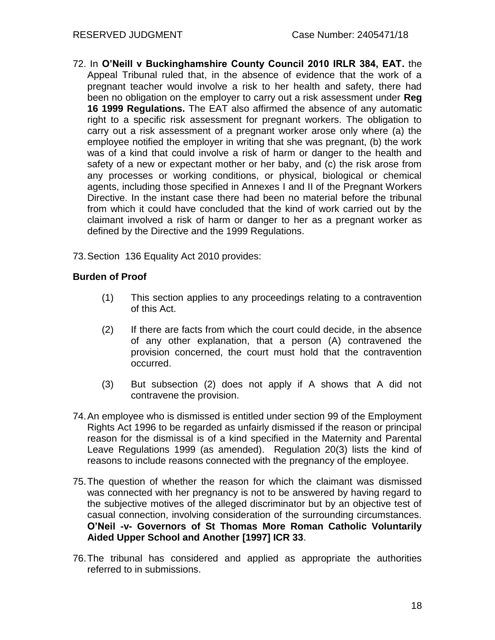- 72. In **O'Neill v Buckinghamshire County Council 2010 IRLR 384, EAT.** the Appeal Tribunal ruled that, in the absence of evidence that the work of a pregnant teacher would involve a risk to her health and safety, there had been no obligation on the employer to carry out a risk assessment under **Reg 16 1999 Regulations.** The EAT also affirmed the absence of any automatic right to a specific risk assessment for pregnant workers. The obligation to carry out a risk assessment of a pregnant worker arose only where (a) the employee notified the employer in writing that she was pregnant, (b) the work was of a kind that could involve a risk of harm or danger to the health and safety of a new or expectant mother or her baby, and (c) the risk arose from any processes or working conditions, or physical, biological or chemical agents, including those specified in Annexes I and II of the Pregnant Workers Directive. In the instant case there had been no material before the tribunal from which it could have concluded that the kind of work carried out by the claimant involved a risk of harm or danger to her as a pregnant worker as defined by the Directive and the 1999 Regulations.
- 73.Section 136 Equality Act 2010 provides:

#### **Burden of Proof**

- (1) This section applies to any proceedings relating to a contravention of this Act.
- (2) If there are facts from which the court could decide, in the absence of any other explanation, that a person (A) contravened the provision concerned, the court must hold that the contravention occurred.
- (3) But subsection (2) does not apply if A shows that A did not contravene the provision.
- 74.An employee who is dismissed is entitled under section 99 of the Employment Rights Act 1996 to be regarded as unfairly dismissed if the reason or principal reason for the dismissal is of a kind specified in the Maternity and Parental Leave Regulations 1999 (as amended). Regulation 20(3) lists the kind of reasons to include reasons connected with the pregnancy of the employee.
- 75.The question of whether the reason for which the claimant was dismissed was connected with her pregnancy is not to be answered by having regard to the subjective motives of the alleged discriminator but by an objective test of casual connection, involving consideration of the surrounding circumstances. **O'Neil -v- Governors of St Thomas More Roman Catholic Voluntarily Aided Upper School and Another [1997] ICR 33**.
- 76.The tribunal has considered and applied as appropriate the authorities referred to in submissions.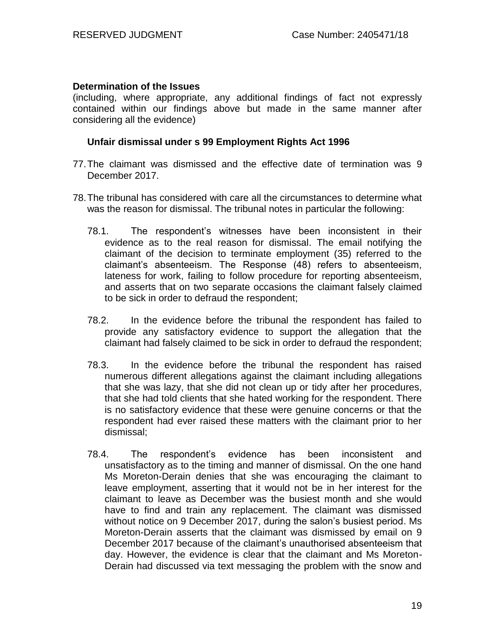#### **Determination of the Issues**

(including, where appropriate, any additional findings of fact not expressly contained within our findings above but made in the same manner after considering all the evidence)

#### **Unfair dismissal under s 99 Employment Rights Act 1996**

- 77.The claimant was dismissed and the effective date of termination was 9 December 2017.
- 78.The tribunal has considered with care all the circumstances to determine what was the reason for dismissal. The tribunal notes in particular the following:
	- 78.1. The respondent's witnesses have been inconsistent in their evidence as to the real reason for dismissal. The email notifying the claimant of the decision to terminate employment (35) referred to the claimant's absenteeism. The Response (48) refers to absenteeism, lateness for work, failing to follow procedure for reporting absenteeism, and asserts that on two separate occasions the claimant falsely claimed to be sick in order to defraud the respondent;
	- 78.2. In the evidence before the tribunal the respondent has failed to provide any satisfactory evidence to support the allegation that the claimant had falsely claimed to be sick in order to defraud the respondent;
	- 78.3. In the evidence before the tribunal the respondent has raised numerous different allegations against the claimant including allegations that she was lazy, that she did not clean up or tidy after her procedures, that she had told clients that she hated working for the respondent. There is no satisfactory evidence that these were genuine concerns or that the respondent had ever raised these matters with the claimant prior to her dismissal;
	- 78.4. The respondent's evidence has been inconsistent and unsatisfactory as to the timing and manner of dismissal. On the one hand Ms Moreton-Derain denies that she was encouraging the claimant to leave employment, asserting that it would not be in her interest for the claimant to leave as December was the busiest month and she would have to find and train any replacement. The claimant was dismissed without notice on 9 December 2017, during the salon's busiest period. Ms Moreton-Derain asserts that the claimant was dismissed by email on 9 December 2017 because of the claimant's unauthorised absenteeism that day. However, the evidence is clear that the claimant and Ms Moreton-Derain had discussed via text messaging the problem with the snow and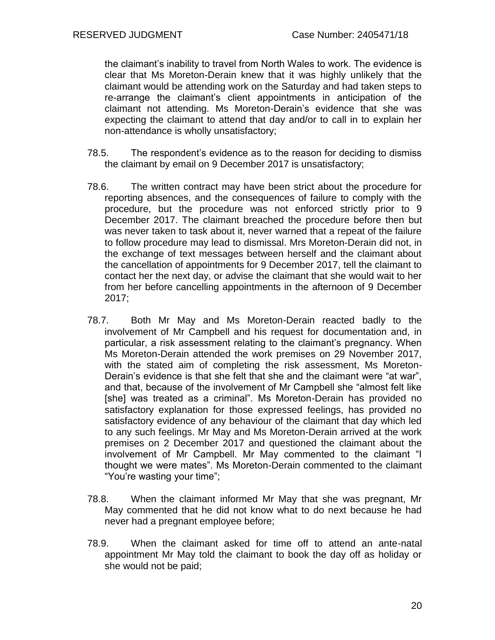the claimant's inability to travel from North Wales to work. The evidence is clear that Ms Moreton-Derain knew that it was highly unlikely that the claimant would be attending work on the Saturday and had taken steps to re-arrange the claimant's client appointments in anticipation of the claimant not attending. Ms Moreton-Derain's evidence that she was expecting the claimant to attend that day and/or to call in to explain her non-attendance is wholly unsatisfactory;

- 78.5. The respondent's evidence as to the reason for deciding to dismiss the claimant by email on 9 December 2017 is unsatisfactory;
- 78.6. The written contract may have been strict about the procedure for reporting absences, and the consequences of failure to comply with the procedure, but the procedure was not enforced strictly prior to 9 December 2017. The claimant breached the procedure before then but was never taken to task about it, never warned that a repeat of the failure to follow procedure may lead to dismissal. Mrs Moreton-Derain did not, in the exchange of text messages between herself and the claimant about the cancellation of appointments for 9 December 2017, tell the claimant to contact her the next day, or advise the claimant that she would wait to her from her before cancelling appointments in the afternoon of 9 December 2017;
- 78.7. Both Mr May and Ms Moreton-Derain reacted badly to the involvement of Mr Campbell and his request for documentation and, in particular, a risk assessment relating to the claimant's pregnancy. When Ms Moreton-Derain attended the work premises on 29 November 2017, with the stated aim of completing the risk assessment, Ms Moreton-Derain's evidence is that she felt that she and the claimant were "at war", and that, because of the involvement of Mr Campbell she "almost felt like [she] was treated as a criminal". Ms Moreton-Derain has provided no satisfactory explanation for those expressed feelings, has provided no satisfactory evidence of any behaviour of the claimant that day which led to any such feelings. Mr May and Ms Moreton-Derain arrived at the work premises on 2 December 2017 and questioned the claimant about the involvement of Mr Campbell. Mr May commented to the claimant "I thought we were mates". Ms Moreton-Derain commented to the claimant "You're wasting your time";
- 78.8. When the claimant informed Mr May that she was pregnant, Mr May commented that he did not know what to do next because he had never had a pregnant employee before;
- 78.9. When the claimant asked for time off to attend an ante-natal appointment Mr May told the claimant to book the day off as holiday or she would not be paid;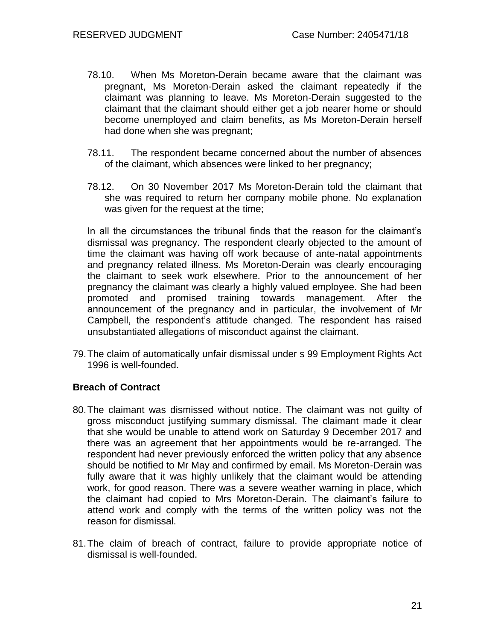- 78.10. When Ms Moreton-Derain became aware that the claimant was pregnant, Ms Moreton-Derain asked the claimant repeatedly if the claimant was planning to leave. Ms Moreton-Derain suggested to the claimant that the claimant should either get a job nearer home or should become unemployed and claim benefits, as Ms Moreton-Derain herself had done when she was pregnant;
- 78.11. The respondent became concerned about the number of absences of the claimant, which absences were linked to her pregnancy;
- 78.12. On 30 November 2017 Ms Moreton-Derain told the claimant that she was required to return her company mobile phone. No explanation was given for the request at the time;

In all the circumstances the tribunal finds that the reason for the claimant's dismissal was pregnancy. The respondent clearly objected to the amount of time the claimant was having off work because of ante-natal appointments and pregnancy related illness. Ms Moreton-Derain was clearly encouraging the claimant to seek work elsewhere. Prior to the announcement of her pregnancy the claimant was clearly a highly valued employee. She had been promoted and promised training towards management. After the announcement of the pregnancy and in particular, the involvement of Mr Campbell, the respondent's attitude changed. The respondent has raised unsubstantiated allegations of misconduct against the claimant.

79.The claim of automatically unfair dismissal under s 99 Employment Rights Act 1996 is well-founded.

#### **Breach of Contract**

- 80.The claimant was dismissed without notice. The claimant was not guilty of gross misconduct justifying summary dismissal. The claimant made it clear that she would be unable to attend work on Saturday 9 December 2017 and there was an agreement that her appointments would be re-arranged. The respondent had never previously enforced the written policy that any absence should be notified to Mr May and confirmed by email. Ms Moreton-Derain was fully aware that it was highly unlikely that the claimant would be attending work, for good reason. There was a severe weather warning in place, which the claimant had copied to Mrs Moreton-Derain. The claimant's failure to attend work and comply with the terms of the written policy was not the reason for dismissal.
- 81.The claim of breach of contract, failure to provide appropriate notice of dismissal is well-founded.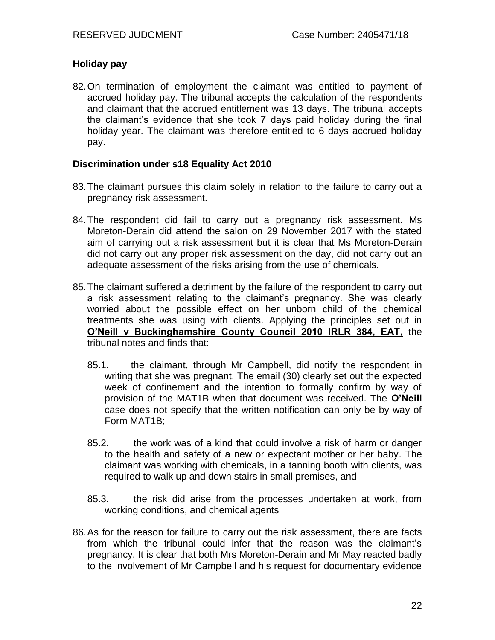#### **Holiday pay**

82.On termination of employment the claimant was entitled to payment of accrued holiday pay. The tribunal accepts the calculation of the respondents and claimant that the accrued entitlement was 13 days. The tribunal accepts the claimant's evidence that she took 7 days paid holiday during the final holiday year. The claimant was therefore entitled to 6 days accrued holiday pay.

#### **Discrimination under s18 Equality Act 2010**

- 83.The claimant pursues this claim solely in relation to the failure to carry out a pregnancy risk assessment.
- 84.The respondent did fail to carry out a pregnancy risk assessment. Ms Moreton-Derain did attend the salon on 29 November 2017 with the stated aim of carrying out a risk assessment but it is clear that Ms Moreton-Derain did not carry out any proper risk assessment on the day, did not carry out an adequate assessment of the risks arising from the use of chemicals.
- 85.The claimant suffered a detriment by the failure of the respondent to carry out a risk assessment relating to the claimant's pregnancy. She was clearly worried about the possible effect on her unborn child of the chemical treatments she was using with clients. Applying the principles set out in **[O'Neill v Buckinghamshire County Council 2010 IRLR 384, EAT,](https://login.westlaw.co.uk/maf/wluk/app/document?src=doc&linktype=ref&context=22&crumb-action=replace&docguid=IC2DD69B0FB4111DEB720B7151DA5B1D1)** the tribunal notes and finds that:
	- 85.1. the claimant, through Mr Campbell, did notify the respondent in writing that she was pregnant. The email (30) clearly set out the expected week of confinement and the intention to formally confirm by way of provision of the MAT1B when that document was received. The **O'Neill**  case does not specify that the written notification can only be by way of Form MAT1B;
	- 85.2. the work was of a kind that could involve a risk of harm or danger to the health and safety of a new or expectant mother or her baby. The claimant was working with chemicals, in a tanning booth with clients, was required to walk up and down stairs in small premises, and
	- 85.3. the risk did arise from the processes undertaken at work, from working conditions, and chemical agents
- 86.As for the reason for failure to carry out the risk assessment, there are facts from which the tribunal could infer that the reason was the claimant's pregnancy. It is clear that both Mrs Moreton-Derain and Mr May reacted badly to the involvement of Mr Campbell and his request for documentary evidence